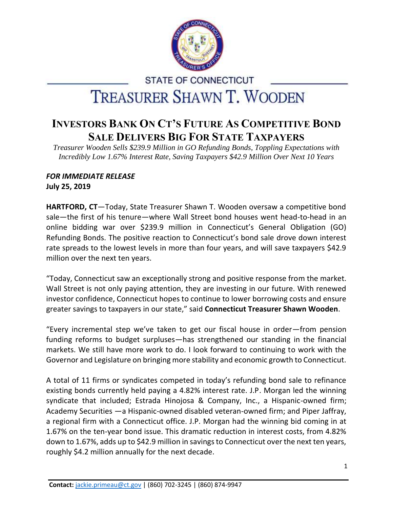

## **STATE OF CONNECTICUT TREASURER SHAWN T. WOODEN**

## **INVESTORS BANK ON CT'S FUTURE AS COMPETITIVE BOND SALE DELIVERS BIG FOR STATE TAXPAYERS**

*Treasurer Wooden Sells \$239.9 Million in GO Refunding Bonds, Toppling Expectations with Incredibly Low 1.67% Interest Rate, Saving Taxpayers \$42.9 Million Over Next 10 Years*

## *FOR IMMEDIATE RELEASE*

**July 25, 2019**

**HARTFORD, CT**—Today, State Treasurer Shawn T. Wooden oversaw a competitive bond sale—the first of his tenure—where Wall Street bond houses went head-to-head in an online bidding war over \$239.9 million in Connecticut's General Obligation (GO) Refunding Bonds. The positive reaction to Connecticut's bond sale drove down interest rate spreads to the lowest levels in more than four years, and will save taxpayers \$42.9 million over the next ten years.

"Today, Connecticut saw an exceptionally strong and positive response from the market. Wall Street is not only paying attention, they are investing in our future. With renewed investor confidence, Connecticut hopes to continue to lower borrowing costs and ensure greater savings to taxpayers in our state," said **Connecticut Treasurer Shawn Wooden**.

"Every incremental step we've taken to get our fiscal house in order—from pension funding reforms to budget surpluses—has strengthened our standing in the financial markets. We still have more work to do. I look forward to continuing to work with the Governor and Legislature on bringing more stability and economic growth to Connecticut.

A total of 11 firms or syndicates competed in today's refunding bond sale to refinance existing bonds currently held paying a 4.82% interest rate. J.P. Morgan led the winning syndicate that included; Estrada Hinojosa & Company, Inc., a Hispanic-owned firm; Academy Securities —a Hispanic-owned disabled veteran-owned firm; and Piper Jaffray, a regional firm with a Connecticut office. J.P. Morgan had the winning bid coming in at 1.67% on the ten-year bond issue. This dramatic reduction in interest costs, from 4.82% down to 1.67%, adds up to \$42.9 million in savings to Connecticut over the next ten years, roughly \$4.2 million annually for the next decade.